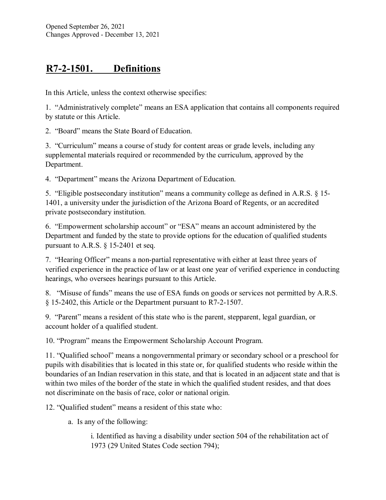## **R7-2-1501. Definitions**

In this Article, unless the context otherwise specifies:

1. "Administratively complete" means an ESA application that contains all components required by statute or this Article.

2. "Board" means the State Board of Education.

3. "Curriculum" means a course of study for content areas or grade levels, including any supplemental materials required or recommended by the curriculum, approved by the Department.

4. "Department" means the Arizona Department of Education.

5. "Eligible postsecondary institution" means a community college as defined in A.R.S. § 15- 1401, a university under the jurisdiction of the Arizona Board of Regents, or an accredited private postsecondary institution.

6. "Empowerment scholarship account" or "ESA" means an account administered by the Department and funded by the state to provide options for the education of qualified students pursuant to A.R.S. § 15-2401 et seq.

7. "Hearing Officer" means a non-partial representative with either at least three years of verified experience in the practice of law or at least one year of verified experience in conducting hearings, who oversees hearings pursuant to this Article.

8. "Misuse of funds" means the use of ESA funds on goods or services not permitted by A.R.S. § 15-2402, this Article or the Department pursuant to R7-2-1507.

9. "Parent" means a resident of this state who is the parent, stepparent, legal guardian, or account holder of a qualified student.

10. "Program" means the Empowerment Scholarship Account Program.

11. "Qualified school" means a nongovernmental primary or secondary school or a preschool for pupils with disabilities that is located in this state or, for qualified students who reside within the boundaries of an Indian reservation in this state, and that is located in an adjacent state and that is within two miles of the border of the state in which the qualified student resides, and that does not discriminate on the basis of race, color or national origin.

12. "Qualified student" means a resident of this state who:

a. Is any of the following:

i. Identified as having a disability under section 504 of the rehabilitation act of 1973 (29 United States Code section 794);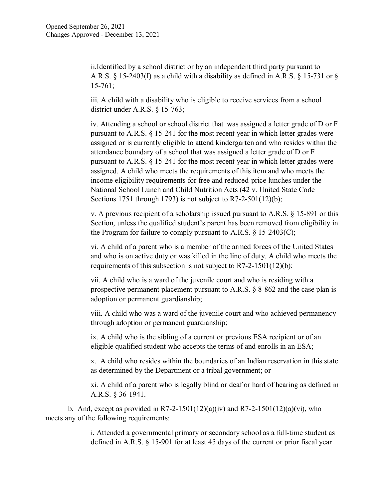ii.Identified by a school district or by an independent third party pursuant to A.R.S. § 15-2403(I) as a child with a disability as defined in A.R.S. § 15-731 or § 15-761;

iii. A child with a disability who is eligible to receive services from a school district under A.R.S. § 15-763;

iv. Attending a school or school district that was assigned a letter grade of D or F pursuant to A.R.S. § 15-241 for the most recent year in which letter grades were assigned or is currently eligible to attend kindergarten and who resides within the attendance boundary of a school that was assigned a letter grade of D or F pursuant to A.R.S. § 15-241 for the most recent year in which letter grades were assigned. A child who meets the requirements of this item and who meets the income eligibility requirements for free and reduced-price lunches under the National School Lunch and Child Nutrition Acts (42 v. United State Code Sections 1751 through 1793) is not subject to R7-2-501(12)(b);

v. A previous recipient of a scholarship issued pursuant to A.R.S. § 15-891 or this Section, unless the qualified student's parent has been removed from eligibility in the Program for failure to comply pursuant to A.R.S.  $\S 15{\text -}2403(C);$ 

vi. A child of a parent who is a member of the armed forces of the United States and who is on active duty or was killed in the line of duty. A child who meets the requirements of this subsection is not subject to R7-2-1501(12)(b);

vii. A child who is a ward of the juvenile court and who is residing with a prospective permanent placement pursuant to A.R.S. § 8-862 and the case plan is adoption or permanent guardianship;

viii. A child who was a ward of the juvenile court and who achieved permanency through adoption or permanent guardianship;

ix. A child who is the sibling of a current or previous ESA recipient or of an eligible qualified student who accepts the terms of and enrolls in an ESA;

x. A child who resides within the boundaries of an Indian reservation in this state as determined by the Department or a tribal government; or

xi. A child of a parent who is legally blind or deaf or hard of hearing as defined in A.R.S. § 36-1941.

b. And, except as provided in R7-2-1501(12)(a)(iv) and R7-2-1501(12)(a)(vi), who meets any of the following requirements:

> i. Attended a governmental primary or secondary school as a full-time student as defined in A.R.S. § 15-901 for at least 45 days of the current or prior fiscal year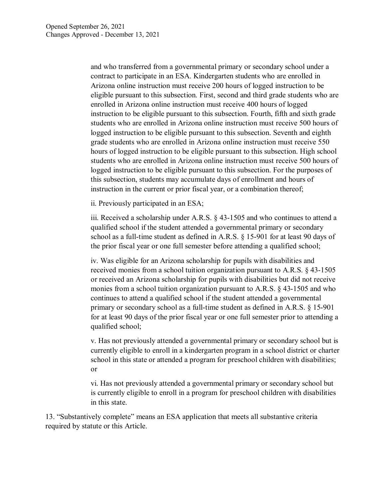and who transferred from a governmental primary or secondary school under a contract to participate in an ESA. Kindergarten students who are enrolled in Arizona online instruction must receive 200 hours of logged instruction to be eligible pursuant to this subsection. First, second and third grade students who are enrolled in Arizona online instruction must receive 400 hours of logged instruction to be eligible pursuant to this subsection. Fourth, fifth and sixth grade students who are enrolled in Arizona online instruction must receive 500 hours of logged instruction to be eligible pursuant to this subsection. Seventh and eighth grade students who are enrolled in Arizona online instruction must receive 550 hours of logged instruction to be eligible pursuant to this subsection. High school students who are enrolled in Arizona online instruction must receive 500 hours of logged instruction to be eligible pursuant to this subsection. For the purposes of this subsection, students may accumulate days of enrollment and hours of instruction in the current or prior fiscal year, or a combination thereof;

ii. Previously participated in an ESA;

iii. Received a scholarship under A.R.S. § 43-1505 and who continues to attend a qualified school if the student attended a governmental primary or secondary school as a full-time student as defined in A.R.S. § 15-901 for at least 90 days of the prior fiscal year or one full semester before attending a qualified school;

iv. Was eligible for an Arizona scholarship for pupils with disabilities and received monies from a school tuition organization pursuant to A.R.S. § 43-1505 or received an Arizona scholarship for pupils with disabilities but did not receive monies from a school tuition organization pursuant to A.R.S. § 43-1505 and who continues to attend a qualified school if the student attended a governmental primary or secondary school as a full-time student as defined in A.R.S. § 15-901 for at least 90 days of the prior fiscal year or one full semester prior to attending a qualified school;

v. Has not previously attended a governmental primary or secondary school but is currently eligible to enroll in a kindergarten program in a school district or charter school in this state or attended a program for preschool children with disabilities; or

vi. Has not previously attended a governmental primary or secondary school but is currently eligible to enroll in a program for preschool children with disabilities in this state.

13. "Substantively complete" means an ESA application that meets all substantive criteria required by statute or this Article.